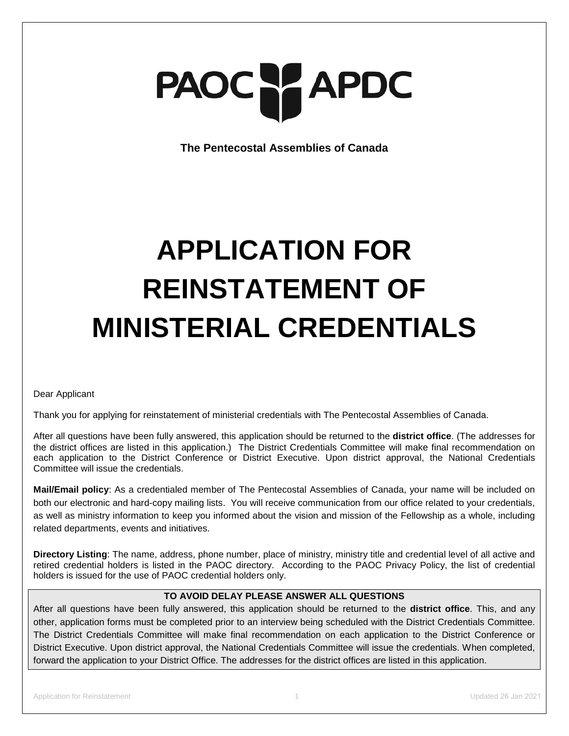# PAOC PAPDC

**The Pentecostal Assemblies of Canada**

# **APPLICATION FOR REINSTATEMENT OF MINISTERIAL CREDENTIALS**

Dear Applicant

Thank you for applying for reinstatement of ministerial credentials with The Pentecostal Assemblies of Canada.

After all questions have been fully answered, this application should be returned to the **district office**. (The addresses for the district offices are listed in this application.) The District Credentials Committee will make final recommendation on each application to the District Conference or District Executive. Upon district approval, the National Credentials Committee will issue the credentials.

**Mail/Email policy**: As a credentialed member of The Pentecostal Assemblies of Canada, your name will be included on both our electronic and hard-copy mailing lists. You will receive communication from our office related to your credentials, as well as ministry information to keep you informed about the vision and mission of the Fellowship as a whole, including related departments, events and initiatives.

**Directory Listing**: The name, address, phone number, place of ministry, ministry title and credential level of all active and retired credential holders is listed in the PAOC directory. According to the PAOC Privacy Policy, the list of credential holders is issued for the use of PAOC credential holders only.

# **TO AVOID DELAY PLEASE ANSWER ALL QUESTIONS**

After all questions have been fully answered, this application should be returned to the **district office**. This, and any other, application forms must be completed prior to an interview being scheduled with the District Credentials Committee. The District Credentials Committee will make final recommendation on each application to the District Conference or District Executive. Upon district approval, the National Credentials Committee will issue the credentials. When completed, forward the application to your District Office. The addresses for the district offices are listed in this application.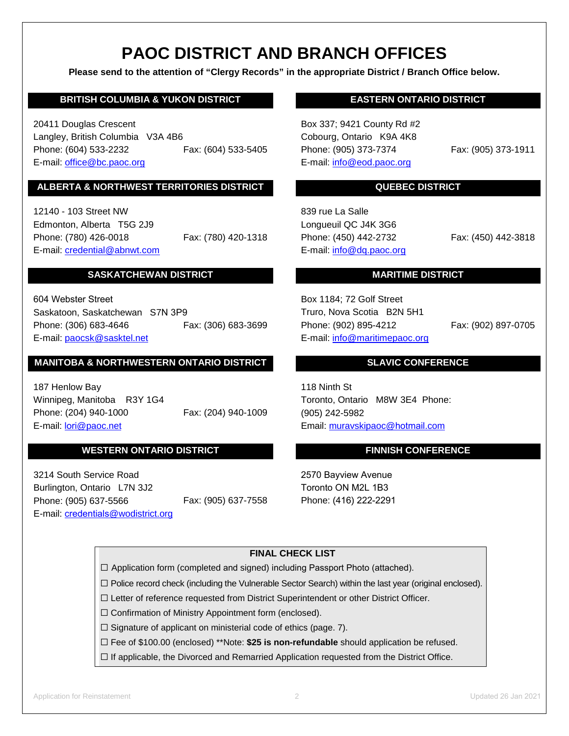# **PAOC DISTRICT AND BRANCH OFFICES**

**Please send to the attention of "Clergy Records" in the appropriate District / Branch Office below.**

# **BRITISH COLUMBIA & YUKON DISTRICT**

20411 Douglas Crescent Langley, British Columbia V3A 4B6 Phone: (604) 533-2232 Fax: (604) 533-5405 E-mail: [office@bc.paoc.org](mailto:office@bc.paoc.org)

# **ALBERTA & NORTHWEST TERRITORIES DISTRICT**

12140 - 103 Street NW Edmonton, Alberta T5G 2J9 Phone: (780) 426-0018 Fax: (780) 420-1318 E-mail: [credential@abnwt.c](mailto:credential@abnwt.)om

# **SASKATCHEWAN DISTRICT**

Fax: (306) 683-3699 604 Webster Street Saskatoon, Saskatchewan S7N 3P9 Phone: (306) 683-4646 E-mail: [paocsk@sasktel.net](mailto:paocsk@sasktel.net)

# **MANITOBA & NORTHWESTERN ONTARIO DISTRICT**

Fax: (204) 940-1009 187 Henlow Bay Winnipeg, Manitoba R3Y 1G4 Phone: (204) 940-1000 E-mail: lori[@paoc.net](mailto:ruth@paoc.net) 

# **WESTERN ONTARIO DISTRICT**

Fax: (905) 637-7558 3214 South Service Road Burlington, Ontario L7N 3J2 Phone: (905) 637-5566 E-mail: credentials[@wodistrict.org](mailto:reception@wodistrict.org)

# **EASTERN ONTARIO DISTRICT**

Box 337; 9421 County Rd #2 Cobourg, Ontario K9A 4K8 Phone: (905) 373-7374 Fax: (905) 373-1911 E-mail: [info@eod.paoc.org](mailto:info@eod.paoc.org) 

# **QUEBEC DISTRICT**

839 rue La Salle Longueuil QC J4K 3G6 Phone: (450) 442-2732 Fax: (450) 442-3818 E-mail: [info@dq.paoc.org](mailto:info@dq.paoc.org)

# **MARITIME DISTRICT**

Box 1184; 72 Golf Street Truro, Nova Scotia B2N 5H1 Phone: (902) 895-4212 Fax: (902) 897-0705 E-mail: [info@maritimepaoc.org](mailto:info@maritimepaoc.org)

# **SLAVIC CONFERENCE**

118 Ninth St Toronto, Ontario M8W 3E4 Phone: (905) 242-5982 Email: [muravskipaoc@](mailto:muravskipaoc@rogers.com)hotmail.com

# **FINNISH CONFERENCE**

2570 Bayview Avenue Toronto ON M2L 1B3 Phone: (416) 222-2291

# **FINAL CHECK LIST**

☐ Application form (completed and signed) including Passport Photo (attached).

☐ Police record check (including the Vulnerable Sector Search) within the last year (original enclosed).

☐ Letter of reference requested from District Superintendent or other District Officer.

☐ Confirmation of Ministry Appointment form (enclosed).

☐ Signature of applicant on ministerial code of ethics (page. 7).

☐ Fee of \$100.00 (enclosed) \*\*Note: **\$25 is non-refundable** should application be refused.

 $\Box$  If applicable, the Divorced and Remarried Application requested from the District Office.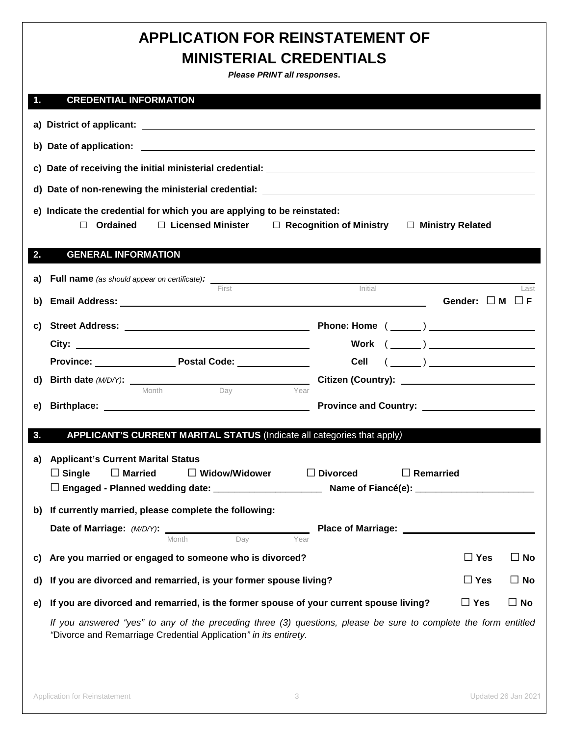# **APPLICATION FOR REINSTATEMENT OF MINISTERIAL CREDENTIALS**

*Please PRINT all responses***.** 

# **1. CREDENTIAL INFORMATION**

|    | d) Date of non-renewing the ministerial credential: National Communication of the control of the control of the control of the control of the control of the control of the control of the control of the control of the contr |                                                                                         |               |              |  |
|----|--------------------------------------------------------------------------------------------------------------------------------------------------------------------------------------------------------------------------------|-----------------------------------------------------------------------------------------|---------------|--------------|--|
|    | e) Indicate the credential for which you are applying to be reinstated:<br>Ordained<br>$\Box$ Licensed Minister $\Box$ Recognition of Ministry $\Box$ Ministry Related<br>$\Box$                                               |                                                                                         |               |              |  |
| 2. | <b>GENERAL INFORMATION</b>                                                                                                                                                                                                     |                                                                                         |               |              |  |
|    |                                                                                                                                                                                                                                |                                                                                         |               |              |  |
| b) | First                                                                                                                                                                                                                          | Initial                                                                                 |               | Last         |  |
|    | Gender: $\Box$ M $\Box$ F                                                                                                                                                                                                      |                                                                                         |               |              |  |
| C) |                                                                                                                                                                                                                                |                                                                                         |               |              |  |
|    |                                                                                                                                                                                                                                | ${\sf Work} \  \  \, (\,\_\_\_\_)\,\_\_\_\_\_\_$                                        |               |              |  |
|    | Province: Province: Postal Code: Province:                                                                                                                                                                                     | Cell<br>$(\begin{array}{c} \begin{array}{c} \begin{array}{c} \end{array}\\ \end{array}$ |               |              |  |
|    | Day<br>Month<br>Year                                                                                                                                                                                                           |                                                                                         |               |              |  |
| e) |                                                                                                                                                                                                                                | Province and Country: _______________________                                           |               |              |  |
|    |                                                                                                                                                                                                                                |                                                                                         |               |              |  |
| 3. | APPLICANT'S CURRENT MARITAL STATUS (Indicate all categories that apply)                                                                                                                                                        |                                                                                         |               |              |  |
| a) | <b>Applicant's Current Marital Status</b>                                                                                                                                                                                      |                                                                                         |               |              |  |
|    | $\Box$ Single<br>$\Box$ Married<br>$\Box$ Widow/Widower<br>$\Box$ Divorced                                                                                                                                                     | $\Box$ Remarried                                                                        |               |              |  |
|    |                                                                                                                                                                                                                                |                                                                                         |               |              |  |
|    | b) If currently married, please complete the following:                                                                                                                                                                        |                                                                                         |               |              |  |
|    | Date of Marriage: (M/D/Y):                                                                                                                                                                                                     | <b>Place of Marriage:</b>                                                               |               |              |  |
|    | Day<br>Year<br>Month                                                                                                                                                                                                           |                                                                                         |               |              |  |
| C) | Are you married or engaged to someone who is divorced?                                                                                                                                                                         |                                                                                         | $\Box$ Yes    | $\Box$ No    |  |
| d) | If you are divorced and remarried, is your former spouse living?                                                                                                                                                               |                                                                                         |               | $\Box$ No    |  |
| e) | If you are divorced and remarried, is the former spouse of your current spouse living?                                                                                                                                         |                                                                                         | $\square$ Yes | $\square$ No |  |
|    | If you answered "yes" to any of the preceding three (3) questions, please be sure to complete the form entitled<br>"Divorce and Remarriage Credential Application" in its entirety.                                            |                                                                                         |               |              |  |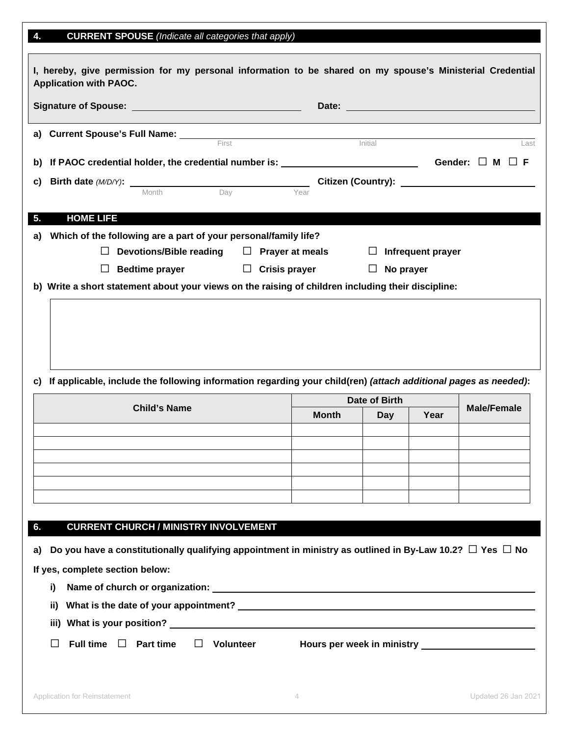| 4.<br><b>CURRENT SPOUSE</b> (Indicate all categories that apply)                                                         |                  |              |                          |      |                                                    |
|--------------------------------------------------------------------------------------------------------------------------|------------------|--------------|--------------------------|------|----------------------------------------------------|
| I, hereby, give permission for my personal information to be shared on my spouse's Ministerial Credential                |                  |              |                          |      |                                                    |
| <b>Application with PAOC.</b>                                                                                            |                  |              |                          |      |                                                    |
|                                                                                                                          |                  |              |                          |      |                                                    |
|                                                                                                                          | First            |              | Initial                  |      | Last                                               |
|                                                                                                                          |                  |              |                          |      |                                                    |
| C)                                                                                                                       |                  |              |                          |      |                                                    |
| <b>Birth date (M/D/Y):</b> Month Day                                                                                     |                  | Year         |                          |      |                                                    |
| <b>HOME LIFE</b><br>5.                                                                                                   |                  |              |                          |      |                                                    |
| Which of the following are a part of your personal/family life?<br>a)                                                    |                  |              |                          |      |                                                    |
| Devotions/Bible reading $\square$ Prayer at meals                                                                        |                  |              | $\Box$ Infrequent prayer |      |                                                    |
| Bedtime prayer $\Box$ Crisis prayer<br>⊔                                                                                 |                  |              | $\Box$ No prayer         |      |                                                    |
| b) Write a short statement about your views on the raising of children including their discipline:                       |                  |              |                          |      |                                                    |
| If applicable, include the following information regarding your child(ren) (attach additional pages as needed):<br>C)    |                  |              | Date of Birth            |      |                                                    |
| <b>Child's Name</b>                                                                                                      |                  | <b>Month</b> | <b>Day</b>               | Year | <b>Male/Female</b>                                 |
|                                                                                                                          |                  |              |                          |      |                                                    |
|                                                                                                                          |                  |              |                          |      |                                                    |
|                                                                                                                          |                  |              |                          |      |                                                    |
|                                                                                                                          |                  |              |                          |      |                                                    |
|                                                                                                                          |                  |              |                          |      |                                                    |
| <b>CURRENT CHURCH / MINISTRY INVOLVEMENT</b><br>6.                                                                       |                  |              |                          |      |                                                    |
| Do you have a constitutionally qualifying appointment in ministry as outlined in By-Law 10.2? $\Box$ Yes $\Box$ No<br>a) |                  |              |                          |      |                                                    |
| If yes, complete section below:                                                                                          |                  |              |                          |      |                                                    |
| i)                                                                                                                       |                  |              |                          |      |                                                    |
|                                                                                                                          |                  |              |                          |      |                                                    |
|                                                                                                                          |                  |              |                          |      |                                                    |
| Full time $\Box$ Part time                                                                                               | $\Box$ Volunteer |              |                          |      | Hours per week in ministry _______________________ |
|                                                                                                                          |                  |              |                          |      |                                                    |
|                                                                                                                          |                  |              |                          |      |                                                    |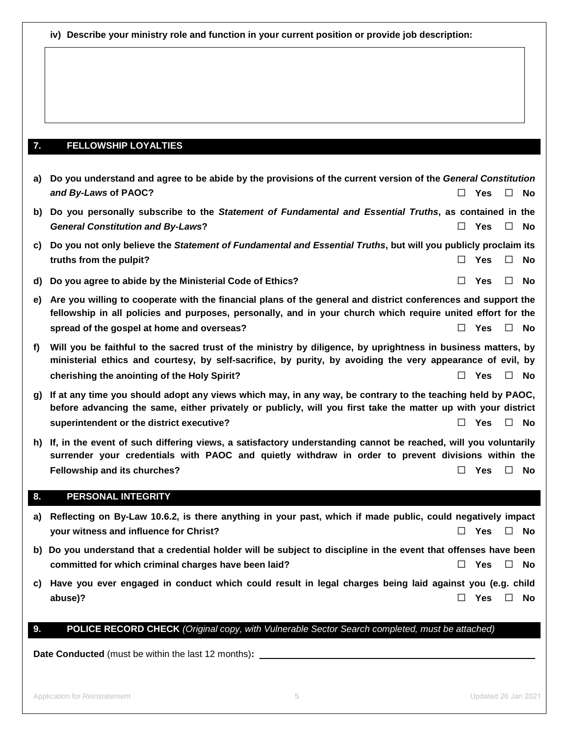**iv) Describe your ministry role and function in your current position or provide job description:**

# **7. FELLOWSHIP LOYALTIES**

| a) | Do you understand and agree to be abide by the provisions of the current version of the General Constitution                                                                                                                |        |            |        |           |
|----|-----------------------------------------------------------------------------------------------------------------------------------------------------------------------------------------------------------------------------|--------|------------|--------|-----------|
|    | and By-Laws of PAOC?                                                                                                                                                                                                        | $\Box$ | <b>Yes</b> | $\Box$ | No        |
| b) | Do you personally subscribe to the Statement of Fundamental and Essential Truths, as contained in the                                                                                                                       |        |            |        |           |
|    | <b>General Constitution and By-Laws?</b>                                                                                                                                                                                    |        | <b>Yes</b> | $\Box$ | <b>No</b> |
| C) | Do you not only believe the Statement of Fundamental and Essential Truths, but will you publicly proclaim its                                                                                                               |        |            |        |           |
|    | truths from the pulpit?                                                                                                                                                                                                     | $\Box$ | Yes        | $\Box$ | No        |
| d) | Do you agree to abide by the Ministerial Code of Ethics?                                                                                                                                                                    |        | <b>Yes</b> | $\Box$ | <b>No</b> |
| e) | Are you willing to cooperate with the financial plans of the general and district conferences and support the                                                                                                               |        |            |        |           |
|    | fellowship in all policies and purposes, personally, and in your church which require united effort for the                                                                                                                 |        |            |        |           |
|    | spread of the gospel at home and overseas?                                                                                                                                                                                  |        | <b>Yes</b> | $\Box$ | <b>No</b> |
| f) | Will you be faithful to the sacred trust of the ministry by diligence, by uprightness in business matters, by<br>ministerial ethics and courtesy, by self-sacrifice, by purity, by avoiding the very appearance of evil, by |        |            |        |           |
|    | cherishing the anointing of the Holy Spirit?                                                                                                                                                                                |        | Yes        | $\Box$ | No.       |
| g) | If at any time you should adopt any views which may, in any way, be contrary to the teaching held by PAOC,<br>before advancing the same, either privately or publicly, will you first take the matter up with your district |        |            |        |           |
|    | superintendent or the district executive?                                                                                                                                                                                   |        | <b>Yes</b> | $\Box$ | No        |
| h) | If, in the event of such differing views, a satisfactory understanding cannot be reached, will you voluntarily                                                                                                              |        |            |        |           |
|    | surrender your credentials with PAOC and quietly withdraw in order to prevent divisions within the                                                                                                                          |        |            |        |           |
|    | Fellowship and its churches?                                                                                                                                                                                                |        | <b>Yes</b> | $\Box$ | No        |

# **8. PERSONAL INTEGRITY**

- **a) Reflecting on By-Law 10.6.2, is there anything in your past, which if made public, could negatively impact your witness and influence for Christ?** ☐ **Yes** ☐ **No**
- **b) Do you understand that a credential holder will be subject to discipline in the event that offenses have been committed for which criminal charges have been laid?** ☐ **Yes** ☐ **No**
- **c) Have you ever engaged in conduct which could result in legal charges being laid against you (e.g. child abuse)?** ☐ **Yes** ☐ **No**

# **9. POLICE RECORD CHECK** *(Original copy, with Vulnerable Sector Search completed, must be attached)*

**Date Conducted** (must be within the last 12 months)**:**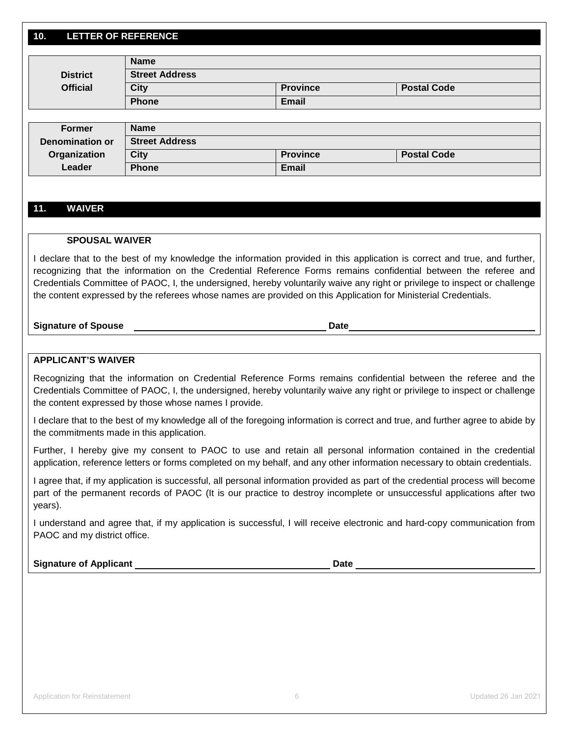# **10. LETTER OF REFERENCE**

|                 | <b>Name</b>           |                 |                    |  |
|-----------------|-----------------------|-----------------|--------------------|--|
| <b>District</b> | <b>Street Address</b> |                 |                    |  |
| <b>Official</b> | <b>City</b>           | <b>Province</b> | <b>Postal Code</b> |  |
|                 | Phone                 | <b>Email</b>    |                    |  |

| Former          | <b>Name</b>           |                 |                    |
|-----------------|-----------------------|-----------------|--------------------|
| Denomination or | <b>Street Address</b> |                 |                    |
| Organization    | City                  | <b>Province</b> | <b>Postal Code</b> |
| Leader          | <b>Phone</b>          | <b>Email</b>    |                    |

# **11. WAIVER**

# **SPOUSAL WAIVER**

I declare that to the best of my knowledge the information provided in this application is correct and true, and further, recognizing that the information on the Credential Reference Forms remains confidential between the referee and Credentials Committee of PAOC, I, the undersigned, hereby voluntarily waive any right or privilege to inspect or challenge the content expressed by the referees whose names are provided on this Application for Ministerial Credentials.

**Signature of Spouse Date**

# **APPLICANT'S WAIVER**

Recognizing that the information on Credential Reference Forms remains confidential between the referee and the Credentials Committee of PAOC, I, the undersigned, hereby voluntarily waive any right or privilege to inspect or challenge the content expressed by those whose names I provide.

I declare that to the best of my knowledge all of the foregoing information is correct and true, and further agree to abide by the commitments made in this application.

Further, I hereby give my consent to PAOC to use and retain all personal information contained in the credential application, reference letters or forms completed on my behalf, and any other information necessary to obtain credentials.

I agree that, if my application is successful, all personal information provided as part of the credential process will become part of the permanent records of PAOC (It is our practice to destroy incomplete or unsuccessful applications after two years).

I understand and agree that, if my application is successful, I will receive electronic and hard-copy communication from PAOC and my district office.

**Signature of Applicant Community Community Community Community Community Community Community Community Community**